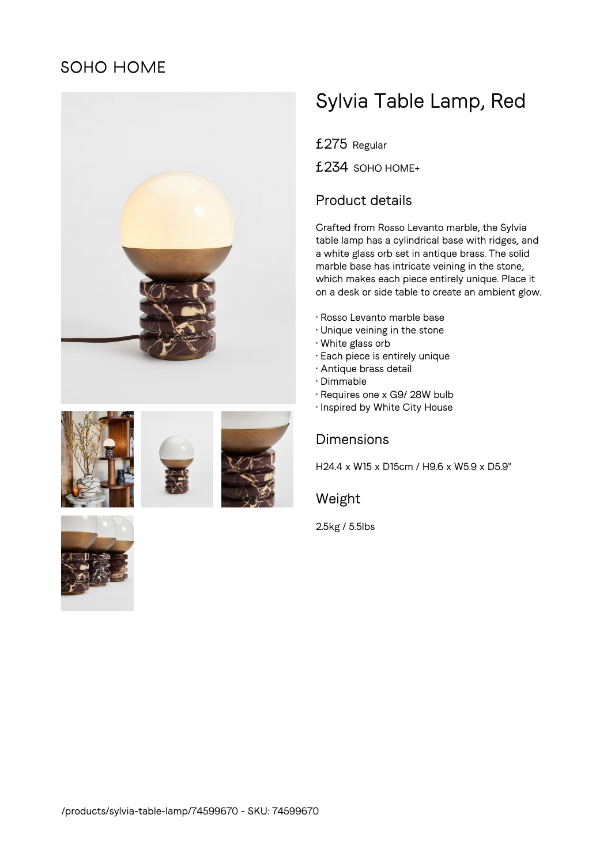# **SOHO HOME**



# Sylvia Table Lamp, Red

£275 Regular

£234 SOHO HOME+

## Product details

Crafted from Rosso Levanto marble, the Sylvia table lamp has a cylindrical base with ridges, and a white glass orb set in antique brass. The solid marble base has intricate veining in the stone, which makes each piece entirely unique. Place it on a desk or side table to create an ambient glow.

- Rosso Levanto marble base
- Unique veining in the stone
- White glass orb
- Each piece is entirely unique
- Antique brass detail
- Dimmable
- Requires one x G9/ 28W bulb
- Inspired by White City House



H24.4 x W15 x D15cm / H9.6 x W5.9 x D5.9"

### Weight

2.5kg / 5.5lbs